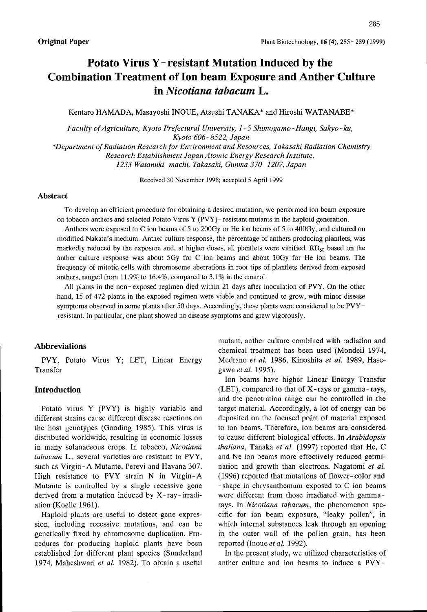# Potato Virus Y- resistant Mutation Induced by the Combination Treatment of lon beam Exposure and Anther Culture in Nicotiana tabacum L.

Kentaro HAMADA, Masayoshi INOUE, Atsushi TANAKA\* and Hiroshi WATANABE\*

Faculty ofAgriculture, Kyoto Prefectural University, I- 5Shimogamo -Hangi, Sakyo - ku, Kyoto 606- 8522, Japan

\*Department ofRadiation Research for Environment and Resources, Takasaki Radiation Chemistry Research Establishment Japan Atomic Energy Research Institute, 1233 Watanuki-machi. Takasaki, Gunma 370-1207, Japan

Received 30 November 1998; accepted 5 April 1999

#### Abstract

To develop an efficient procedure for obtaining a desired mutation, we performed ion beam exposure on tobacco anthers and selected Potato Virus Y (PVY) - resistant mutants in the haploid generation.

Anthers were exposed to C ion bearns of 5to 200Gy or He ion beams of 5to 400Gy, and cultured on modified Nakata's mediurn. Anther culture response, the percentage of anthers producing plantlets, was markedly reduced by the exposure and, at higher doses, all plantlets were vitrified.  $RD_{50}$  based on the anther culture response was about 5Gy for C ion bearns and about lOGy for He ion beams. The frequency of mitotic cells with chromosome aberrations in root tips of plantlets derived from exposed anthers, ranged from 11.9% to 16.4%, compared to 3.1% in the control.

All plants in the non-exposed regimen died within 21 days after inoculation of PVY. On the other hand, 15 of 472 plants in the exposed regimen were viable and continued to grow, with minor disease symptoms observed in some plants after 50 days. Accordingly, these plants were considered to be PVYresistant. In particular, one plant showed no disease symptoms and grew vigorously.

## Abbreviations

PVY, Potato Virus Y; LET, Linear Energy Transfer

## Introduction

Potato virus Y (PVY) is highly variable and different strains cause different disease reactions on the host genotypes (Gooding 1985). This virus is distributed worldwide, resulting in economic losses in many solanaceous crops, In tobacco, Nicotiana tabacum L., several varieties are resistant to PVY, such as Virgin-A Mutante, Perevi and Havana 307. High resistance to PVY strain N in Virgin-A Mutante is controlled by a single recessive gene derived from a mutation induced by X-ray-irradiation (Koelle 1961).

Haploid plants are useful to detect gene expression, including recessive mutations, and can be genetically fixed by chromosome duplication. Procedures for producing haploid plants have been established for different plant species (Sunderland 1974, Maheshwari et al. 1982). To obtain a useful

mutant, anther culture combined with radiation and chemical treatment has been used (Mondeil 1974, Medrano et al. 1986, Kinoshita et al. 1989, Hasegawa et al. 1995).

Ion beams have higher Linear Energy Transfer (LET), compared to that of  $X$ -rays or gamma-rays, and the penetration range can be controlled in the target material. Accordingly, a lot of energy can be deposited on the focused point of material exposed to ion beams. Therefore, ion beams are considered to cause different biological effects. In Arabidopsis thaliana, Tanaka et al. (1997) reported that He, C and Ne ion beams more effectively reduced germination and growth than electrons. Nagatomi et aL (1996) reported that mutations of flower-color and -shape in chrysanthemum exposed to C ion beams were different from those irradiated with gammarays. In Nicotiana tabacum, the phenomenon specific for ion beam exposure, "leaky pollen", in which internal substances leak through an opening in the outer wall of the pollen grain, has been reported (Inoue et al. 1992).

In the present study, we utilized characteristics of anther culture and ion beams to induce a PVY-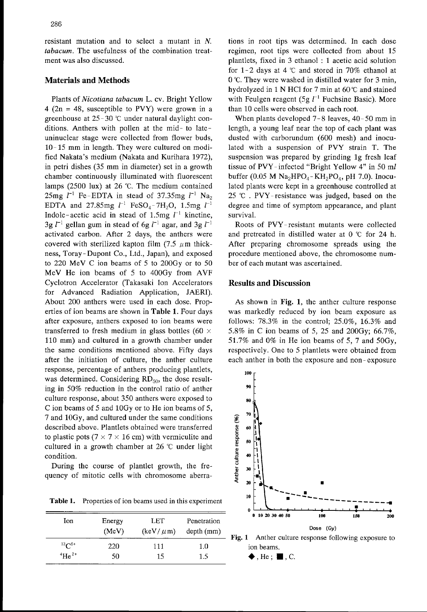resistant mutation and to select a mutant in N. tabacum. The usefulness of the combination treatment was also discussed.

#### Materials and Methods

Plants of Nicotiana tabacum L. cv. Bright Yellow  $4$  (2n = 48, susceptible to PVY) were grown in a greenhouse at  $25-30$  °C under natural daylight conditions. Anthers with pollen at the mid- to lateuninuclear stage were collected from flower buds, 10- <sup>15</sup> mm in length. They were cultured on modified Nakata's medium (Nakata and Kurihara 1972), in petri dishes (35 mm in diameter) set in <sup>a</sup> growth chamber continuously illuminated with fluorescent lamps (2500 Iux) at 26 "C. The medium contained 25mg  $l^{-1}$  Fe-EDTA in stead of 37.35mg  $l^{-1}$  Na<sub>2</sub> EDTA and 27.85mg  $l^{-1}$  FeSO<sub>4</sub>-7H<sub>2</sub>O, 1.5mg  $l^{-1}$ Indole-acetic acid in stead of 1.5mg  $l^{-1}$  kinetine, 3g  $l^{-1}$  gellan gum in stead of 6g  $l^{-1}$  agar, and 3g  $l^{-1}$ activated carbon. After 2 days, the anthers were covered with sterilized kapton film  $(7.5 \mu m)$  thickness, Toray-Dupont Co., Ltd., Japan), and exposed to 220 MeV C ion beams of 5 to 200Gy or to <sup>50</sup> MeV He ion beams of 5 to 400Gy from AVF Cyclotron Accelerator (Takasaki lon Accelerators for Advanced Radiation Application. JAERI). About 200 anthers were used in each dose. Properties of ion beams are shown in Table 1. Four days after exposure, anthers exposed to ion beams were transferred to fresh medium in glass bottles (60  $\times$ <sup>110</sup> mm) and cultured in a growth chamber under the same conditions mentioned above. Fifty days after the initiation of culture, the anther culture response, percentage of anthers producing plantlets, was determined. Considering  $RD_{50}$ , the dose resulting in 50% reduction in the control ratio of anther culture response, about 350 anthers were exposed to C ion beams of 5 and 10Gy or to He ion beams of 5, 7and 10Gy, and cultured under the same conditions described above. Plantlets obtained were transferred to plastic pots ( $7 \times 7 \times 16$  cm) with vermiculite and cultured in a growth chamber at 26 'C under light condition.

During the course of plantlet growth, the frequency of mitotic cells with chromosome aberra-

Table 1. Properties of ion beams used in this experiment

| Ion.                    | Energy<br>(MeV) | <b>LET</b><br>$(\text{keV}/ \mu \text{m})$ | Penetration<br>$depth$ (mm) |
|-------------------------|-----------------|--------------------------------------------|-----------------------------|
| $^{12}C^{5+}$           | 220             | 111                                        | 1.0                         |
| $^{4}$ He <sup>2+</sup> | 50              | 15                                         | 1.5                         |

tions in root tips was determined. In each dose regimen, root tips were collected from about 15 plantlets, fixed in  $3$  ethanol : 1 acetic acid solution for 1-2 days at 4  $\degree$ C and stored in 70% ethanol at O'C. They were washed in distilled water for 3min, hydrolyzed in 1 N HCl for 7 min at  $60^{\circ}$ C and stained with Feulgen reagent (5g  $l^{-1}$  Fuchsine Basic). More than 10 cells were observed in each root.

When plants developed  $7 - 8$  leaves,  $40 - 50$  mm in length, a young leaf near the top of each plant was dusted with carborundum (600 mesh) and inoculated with <sup>a</sup> suspension of PVY strain T. The suspension was prepared by grinding lg fresh leaf tissue of PVY- infected "Bright Yellow 4" in 50 ml buffer (0.05 M  $Na<sub>2</sub>HPO<sub>4</sub> - KH<sub>2</sub>PO<sub>4</sub>$ , pH 7.0). Inoculated plants were kept in a greenhouse controlled at 25 °C. PVY-resistance was judged, based on the degree and time of symptom appearance, and plant survival.

Roots of PVY-resistant mutants were collected and pretreated in distilled water at O 'C for <sup>24</sup> h. After preparing chromosome spreads using the procedure mentioned above, the chromosome number of each mutant was ascertained.

# Results and Discussion

As shown in Fig, 1, the anther culture response was markedly reduced by ion beam exposure as follows: 78.3% in the control; 25.0%, 16.3% and 5.8% in C ion beams of 5, <sup>25</sup> and 200Gy; 66.7%, 51.7% and O% in He ion beams of 5, 7 and 50Gy, respectively. One to 5 plantlets were obtained from each anther in both the exposure and non-exposure





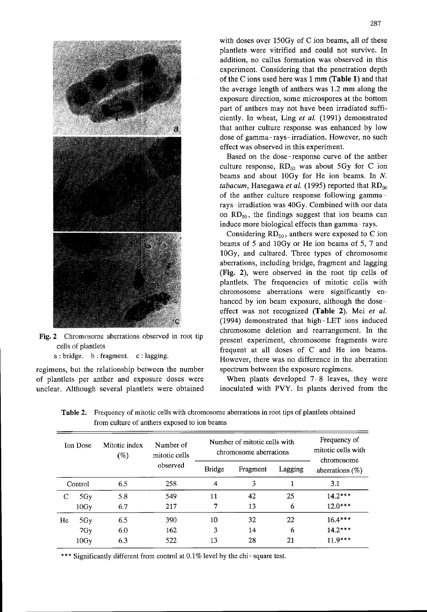

Fig. 2 Chromosome aberrations observed in root tip cells of plantlets

a : bridge. b: fragment. c : Iagging.

regimens, but the relationship between the number of plantlets per anther and exposure doses were unclear. Although several plantlets were obtained with doses over 150Gy of C ion beams, all of these plantlets were vitrified and could not survive. In addition, no callus formation was observed in this experiment. Considering that the penetration depth of the C ions used here was  $1 \text{ mm}$  (Table 1) and that the average length of anthers was 1.2 mm along the exposure direction, some microspores at the bottom part of anthers may not have been irradiated sufficiently. In wheat, Ling et al. (1991) demonstrated that anther culture response was enhanced by low dose of gamma-rays- irradiation. However, no such effect was observed in this experiment.

Based on the dose-response curve of the anther culture response,  $RD_{50}$  was about 5Gy for C ion beams and about 10Gy for He ion beams. In N. tabacum, Hasegawa et al. (1995) reported that  $RD_{50}$ of the anther culture response following gammarays- irradiation was 40Gy. Combined with our data on  $RD_{50}$ , the findings suggest that ion beams can induce more biological effects than gamma- rays.

 $\frac{1}{2}$ Considering  $RD_{50}$ , anthers were exposed to C ion beams of 5 and 10Gy or He ion beams of 5, 7 and 10Gy, and cultured. Three types of chromosome aberrations, including bridge, fragment and lagging (Fig. 2), were observed in the root tip cells of plantlets. The frequencies of mitotic cells with chromosome aberrations were significantly enhanced by ion beam exposure, although the doseeffect was not recognized (Table 2). Mei et al. (1994) demonstrated that high-LET ions induced chromosome deletion and rearrangement. In the present experiment, chromosome fragments were frequent at all doses of C and He ion beams. However, there was no difference in the aberration spectrum between the exposure regimens.

When plants developed 7-8 leaves, they were inoculated with PVY. In plants derived from the

| <b>Ion Dose</b> |         | Mitotic index<br>$(\%)$ | Number of<br>mitotic cells<br>observed | Number of mitotic cells with<br>chromosome aberrations |          |         | Frequency of<br>mitotic cells with<br>chromosome |
|-----------------|---------|-------------------------|----------------------------------------|--------------------------------------------------------|----------|---------|--------------------------------------------------|
|                 |         |                         |                                        | <b>Bridge</b>                                          | Fragment | Lagging | aberrations $(\%)$                               |
|                 | Control | 6.5                     | 258                                    | 4                                                      | 3        |         | 3.1                                              |
|                 | 5Gy     | 5.8                     | 549                                    | 11                                                     | 42       | 25      | $14.2***$                                        |
|                 | 10Gy    | 6.7                     | 217                                    | 7                                                      | 13       | 6       | $12.0***$                                        |
| He              | 5Gy     | 6.5                     | 390                                    | 10                                                     | 32       | 22      | $16.4***$                                        |
|                 | 7Gy     | 6.0                     | 162                                    | 3                                                      | 14       | 6       | $14.2***$                                        |
|                 | 10Gy    | 6.3                     | 522                                    | 13                                                     | 28       | 21      | $11.9***$                                        |

Table 2. Frequency of mitotic cells with chromosome aberrations in root tips of plantlets obtained from culture of anthers exposed to ion beams

\*\*\* Significantly different from control at 0.1% level by the chi-square test.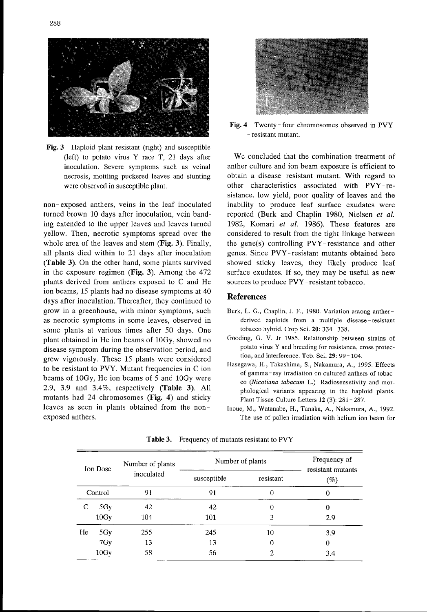

Fig. 3 Haploid plant resistant (right) and susceptible (left) to potato virus Y race T, <sup>21</sup> days after inoculation. Severe symptoms such as veinal necrosis, mottling puckered leaves and stunting were observed in susceptible plant.

non-exposed anthers, veins in the leaf inoculated turned brown 10 days after inoculation, vein banding extended to the upper leaves and leaves turned yellow. Then, necrotic symptoms spread over the whole area of the leaves and stem (Fig. 3). Finally, all plants died within to 21 days after inoculation (Table 3). On the other hand, some plants survived in the exposure regimen (Fig. 3). Among the 472 plants derived from anthers exposed to C and He ion beams, 15 plants had no disease symptoms at 40 days after inoculation. Thereafter, they continued to grow in a greenhouse, with minor symptoms, such as necrotic symptoms in some leaves, observed in some plants at various times after 50 days. One plant obtained in He ion beams of 10Gy, showed no disease symptom during the observation period, and grew vigorously. These 15 plants were considered to be resistant to PVY. Mutant frequencies in C ion beams of 10Gy, He ion beams of 5and 10Gy were 2.9, 3.9 and 3.4%, respectively  $(Table 3)$ . All mutants had 24 chromosomes (Fig. 4) and sticky leaves as seen in plants obtained from the nonexposed anthers.



Fig. 4 Twenty - four chromosomes observed in PVY - resistant mutant.

We concluded that the combination treatment of anther culture and ion beam exposure is efficient to obtain a disease-resistant mutant. With regard to other characteristics associated with PVY-resistance, Iow yield, poor quality of leaves and the inability to produce leaf surface exudates were reported (Burk and Chaplin 1980, Nielsen et al. 1982, Komari et al. 1986). These features are considered to result from the tight linkage between the gene(s) controlling PVY-resistance and other genes. Since PVY-resistant mutants obtained here showed sticky leaves, they likely produce leaf surface exudates. If so, they may be useful as new sources to produce PVY- resistant tobacco.

#### References

- Burk, L. G., Chaplin, J. F., 1980. Variation among antherderived haploids from a multiple disease-resistant tobacco hybrid. Crop Sci. 20: 334-338.
- Gooding, G. V. Jr 1985. Relationship between strains of potata virus Y and breeding for resistance, cross protection, and interference. Tob. Sci. 29: 99-104.
- Hasegawa, H., Takashima, S., Nakamura, A , 1995 Effects of gamma- ray irradiation on cultured anthers of tobacco (Nicotiana tabacum L.)-Radiosensetivity and morphological variants appearing in the haploid plants Plant Tissue Culture Letters 12 (3): 281-287
- Inoue, M., Watanabe, H., Tanaka, A., Nakamura, A., 1992. The use of pollen irradiation with helium ion beam for

| Ion Dose<br>Control |      | Number of plants | Number of plants | Frequency of<br>resistant mutants |                           |
|---------------------|------|------------------|------------------|-----------------------------------|---------------------------|
|                     |      | inoculated       | susceptible      | resistant                         | $\scriptstyle{(\%)}$<br>0 |
|                     |      | 91               | 91               | 0                                 |                           |
|                     | 5Gy  | 42               | 42               | 0                                 | 0                         |
|                     | 10Gy | 104              | 101              | 3                                 | 2.9                       |
| He                  | 5Gy  | 255              | 245              | 10                                | 3.9                       |
|                     | 7Gy  | 13               | 13               | 0                                 | 0                         |
|                     | 10Gy | 58               | 56               | 2                                 | 3.4                       |

Table 3. Frequency of mutants resistant to PVY